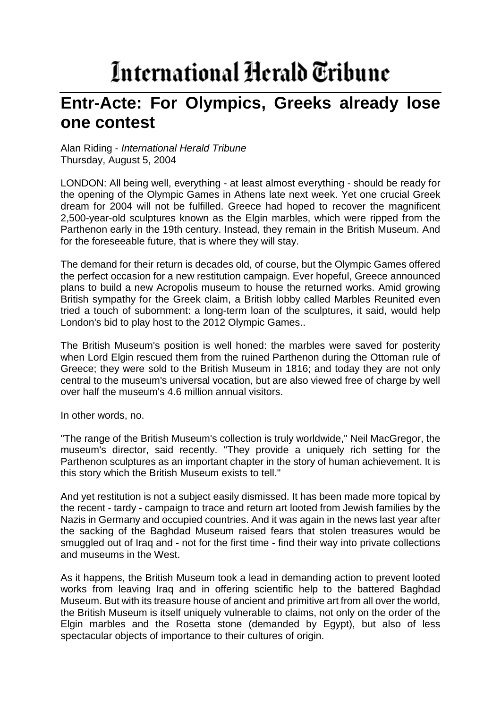## International Herald Tribune

## **Entr-Acte: For Olympics, Greeks already lose one contest**

Alan Riding - *International Herald Tribune* Thursday, August 5, 2004

LONDON: All being well, everything - at least almost everything - should be ready for the opening of the Olympic Games in Athens late next week. Yet one crucial Greek dream for 2004 will not be fulfilled. Greece had hoped to recover the magnificent 2,500-year-old sculptures known as the Elgin marbles, which were ripped from the Parthenon early in the 19th century. Instead, they remain in the British Museum. And for the foreseeable future, that is where they will stay.

The demand for their return is decades old, of course, but the Olympic Games offered the perfect occasion for a new restitution campaign. Ever hopeful, Greece announced plans to build a new Acropolis museum to house the returned works. Amid growing British sympathy for the Greek claim, a British lobby called Marbles Reunited even tried a touch of subornment: a long-term loan of the sculptures, it said, would help London's bid to play host to the 2012 Olympic Games..

The British Museum's position is well honed: the marbles were saved for posterity when Lord Elgin rescued them from the ruined Parthenon during the Ottoman rule of Greece; they were sold to the British Museum in 1816; and today they are not only central to the museum's universal vocation, but are also viewed free of charge by well over half the museum's 4.6 million annual visitors.

In other words, no.

"The range of the British Museum's collection is truly worldwide," Neil MacGregor, the museum's director, said recently. "They provide a uniquely rich setting for the Parthenon sculptures as an important chapter in the story of human achievement. It is this story which the British Museum exists to tell."

And yet restitution is not a subject easily dismissed. It has been made more topical by the recent - tardy - campaign to trace and return art looted from Jewish families by the Nazis in Germany and occupied countries. And it was again in the news last year after the sacking of the Baghdad Museum raised fears that stolen treasures would be smuggled out of Iraq and - not for the first time - find their way into private collections and museums in the West.

As it happens, the British Museum took a lead in demanding action to prevent looted works from leaving Iraq and in offering scientific help to the battered Baghdad Museum. But with its treasure house of ancient and primitive art from all over the world, the British Museum is itself uniquely vulnerable to claims, not only on the order of the Elgin marbles and the Rosetta stone (demanded by Egypt), but also of less spectacular objects of importance to their cultures of origin.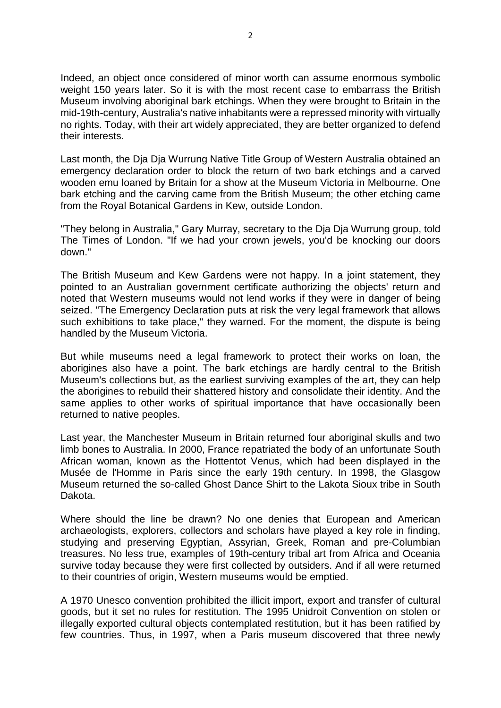Indeed, an object once considered of minor worth can assume enormous symbolic weight 150 years later. So it is with the most recent case to embarrass the British Museum involving aboriginal bark etchings. When they were brought to Britain in the mid-19th-century, Australia's native inhabitants were a repressed minority with virtually no rights. Today, with their art widely appreciated, they are better organized to defend their interests.

Last month, the Dja Dja Wurrung Native Title Group of Western Australia obtained an emergency declaration order to block the return of two bark etchings and a carved wooden emu loaned by Britain for a show at the Museum Victoria in Melbourne. One bark etching and the carving came from the British Museum; the other etching came from the Royal Botanical Gardens in Kew, outside London.

"They belong in Australia," Gary Murray, secretary to the Dja Dja Wurrung group, told The Times of London. "If we had your crown jewels, you'd be knocking our doors down."

The British Museum and Kew Gardens were not happy. In a joint statement, they pointed to an Australian government certificate authorizing the objects' return and noted that Western museums would not lend works if they were in danger of being seized. "The Emergency Declaration puts at risk the very legal framework that allows such exhibitions to take place," they warned. For the moment, the dispute is being handled by the Museum Victoria.

But while museums need a legal framework to protect their works on loan, the aborigines also have a point. The bark etchings are hardly central to the British Museum's collections but, as the earliest surviving examples of the art, they can help the aborigines to rebuild their shattered history and consolidate their identity. And the same applies to other works of spiritual importance that have occasionally been returned to native peoples.

Last year, the Manchester Museum in Britain returned four aboriginal skulls and two limb bones to Australia. In 2000, France repatriated the body of an unfortunate South African woman, known as the Hottentot Venus, which had been displayed in the Musée de l'Homme in Paris since the early 19th century. In 1998, the Glasgow Museum returned the so-called Ghost Dance Shirt to the Lakota Sioux tribe in South Dakota.

Where should the line be drawn? No one denies that European and American archaeologists, explorers, collectors and scholars have played a key role in finding, studying and preserving Egyptian, Assyrian, Greek, Roman and pre-Columbian treasures. No less true, examples of 19th-century tribal art from Africa and Oceania survive today because they were first collected by outsiders. And if all were returned to their countries of origin, Western museums would be emptied.

A 1970 Unesco convention prohibited the illicit import, export and transfer of cultural goods, but it set no rules for restitution. The 1995 Unidroit Convention on stolen or illegally exported cultural objects contemplated restitution, but it has been ratified by few countries. Thus, in 1997, when a Paris museum discovered that three newly